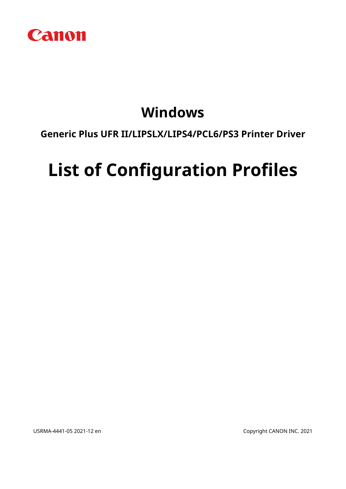

# **Windows**

# **Generic Plus UFR II/LIPSLX/LIPS4/PCL6/PS3 Printer Driver**

# **List of Configuration Profiles**

USRMA-4441-05 2021-12 en Copyright CANON INC. 2021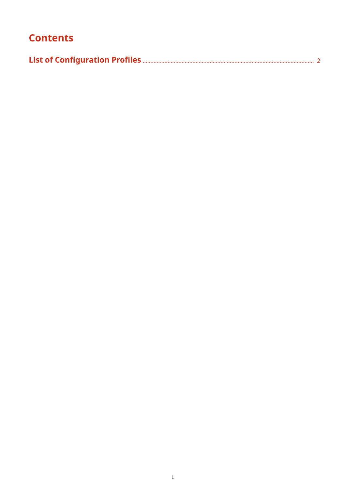# **Contents**

|--|--|--|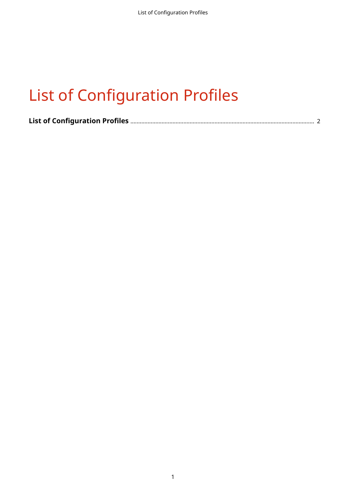|--|--|--|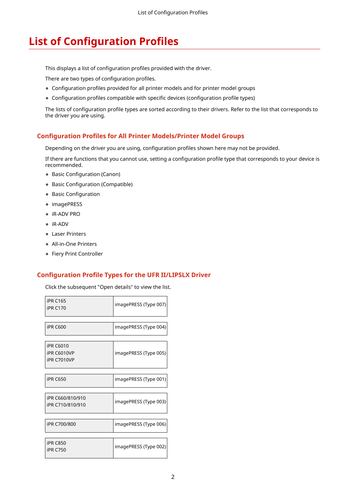<span id="page-3-0"></span>This displays a list of configuration profiles provided with the driver.

There are two types of configuration profiles.

- Configuration profiles provided for all printer models and for printer model groups
- Configuration profiles compatible with specific devices (configuration profile types)

The lists of configuration profile types are sorted according to their drivers. Refer to the list that corresponds to the driver you are using.

#### **Configuration Profiles for All Printer Models/Printer Model Groups**

Depending on the driver you are using, configuration profiles shown here may not be provided.

If there are functions that you cannot use, setting a configuration profile type that corresponds to your device is recommended.

- Basic Configuration (Canon)
- Basic Configuration (Compatible)
- Basic Configuration
- imagePRESS
- iR-ADV PRO
- iR-ADV
- Laser Printers
- All-in-One Printers
- Fiery Print Controller

#### **Configuration Profile Types for the UFR II/LIPSLX Driver**

Click the subsequent "Open details" to view the list.

| <b>iPR C165</b><br><b>iPR C170</b>                           | imagePRESS (Type 007) |
|--------------------------------------------------------------|-----------------------|
| <b>iPR C600</b>                                              | imagePRESS (Type 004) |
| <b>iPR C6010</b><br><b>iPR C6010VP</b><br><b>iPR C7010VP</b> | imagePRESS (Type 005) |
| <b>iPR C650</b>                                              | imagePRESS (Type 001) |
| iPR C660/810/910<br>iPR C710/810/910                         | imagePRESS (Type 003) |
| iPR C700/800                                                 | imagePRESS (Type 006) |
| <b>iPR C850</b><br><b>iPR C750</b>                           | imagePRESS (Type 002) |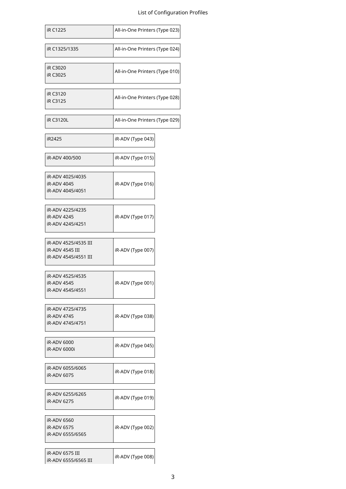| iR C1225                                                        | All-in-One Printers (Type 023) |
|-----------------------------------------------------------------|--------------------------------|
| iR C1325/1335                                                   | All-in-One Printers (Type 024) |
| iR C3020<br>iR C3025                                            | All-in-One Printers (Type 010) |
| iR C3120<br>iR C3125                                            | All-in-One Printers (Type 028) |
| iR C3120L                                                       | All-in-One Printers (Type 029) |
| iR2425                                                          | iR-ADV (Type 043)              |
| iR-ADV 400/500                                                  | iR-ADV (Type 015)              |
| iR-ADV 4025/4035<br>iR-ADV 4045<br>iR-ADV 4045/4051             | iR-ADV (Type 016)              |
| iR-ADV 4225/4235<br>iR-ADV 4245<br>iR-ADV 4245/4251             | iR-ADV (Type 017)              |
| iR-ADV 4525/4535 III<br>iR-ADV 4545 III<br>iR-ADV 4545/4551 III | iR-ADV (Type 007)              |
| iR-ADV 4525/4535<br>iR-ADV 4545<br>iR-ADV 4545/4551             | iR-ADV (Type 001)              |
| iR-ADV 4725/4735<br>iR-ADV 4745<br>iR-ADV 4745/4751             | iR-ADV (Type 038)              |
| iR-ADV 6000<br>iR-ADV 6000i                                     | iR-ADV (Type 045)              |
| iR-ADV 6055/6065<br>iR-ADV 6075                                 | iR-ADV (Type 018)              |
| iR-ADV 6255/6265<br>iR-ADV 6275                                 | iR-ADV (Type 019)              |
| iR-ADV 6560<br>iR-ADV 6575<br>iR-ADV 6555/6565                  | iR-ADV (Type 002)              |
| <b>iR-ADV 6575 III</b><br>iR-ADV 6555/6565 III                  | iR-ADV (Type 008)              |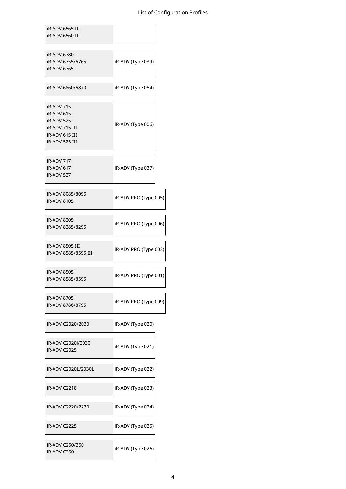| iR-ADV 6565 III<br>iR-ADV 6560 III |
|------------------------------------|
|                                    |
| iR-ADV 6780                        |

 $\overline{\phantom{a}}$ 

| iR-ADV 6755/6765<br>iR-ADV 6765                    | iR-ADV (Type 039)     |
|----------------------------------------------------|-----------------------|
| iR-ADV 6860/6870                                   | iR-ADV (Type 054)     |
| iR-ADV 715                                         |                       |
| iR-ADV 615<br>iR-ADV 525                           | iR-ADV (Type 006)     |
| iR-ADV 715 III<br>iR-ADV 615 III<br>iR-ADV 525 III |                       |
| iR-ADV 717                                         |                       |
| iR-ADV 617<br>iR-ADV 527                           | iR-ADV (Type 037)     |
| iR-ADV 8085/8095<br>iR-ADV 8105                    | iR-ADV PRO (Type 005) |
| <b>iR-ADV 8205</b><br>iR-ADV 8285/8295             | iR-ADV PRO (Type 006) |
| iR-ADV 8505 III<br>iR-ADV 8585/8595 III            | iR-ADV PRO (Type 003) |
| iR-ADV 8505<br>iR-ADV 8585/8595                    | iR-ADV PRO (Type 001) |
| iR-ADV 8705<br>iR-ADV 8786/8795                    | iR-ADV PRO (Type 009) |
| iR-ADV C2020/2030                                  | iR-ADV (Type 020)     |
| iR-ADV C2020i/2030i<br>iR-ADV C2025                | iR-ADV (Type 021)     |
| iR-ADV C2020L/2030L                                | iR-ADV (Type 022)     |
| iR-ADV C2218                                       | iR-ADV (Type 023)     |
| iR-ADV C2220/2230                                  | iR-ADV (Type 024)     |
| iR-ADV C2225                                       | iR-ADV (Type 025)     |
| iR-ADV C250/350<br>iR-ADV C350                     | iR-ADV (Type 026)     |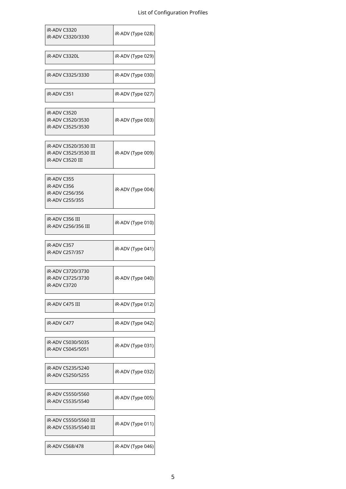| iR-ADV C3320<br>iR-ADV C3320/3330                                  | iR-ADV (Type 028) |
|--------------------------------------------------------------------|-------------------|
| iR-ADV C3320L                                                      | iR-ADV (Type 029) |
| iR-ADV C3325/3330                                                  | iR-ADV (Type 030) |
| iR-ADV C351                                                        | iR-ADV (Type 027) |
| iR-ADV C3520<br>iR-ADV C3520/3530<br>iR-ADV C3525/3530             | iR-ADV (Type 003) |
| iR-ADV C3520/3530 III<br>iR-ADV C3525/3530 III<br>iR-ADV C3520 III | iR-ADV (Type 009) |
| iR-ADV C355<br>iR-ADV C356<br>iR-ADV C256/356<br>iR-ADV C255/355   | iR-ADV (Type 004) |
| iR-ADV C356 III<br>iR-ADV C256/356 III                             | iR-ADV (Type 010) |
| iR-ADV C357<br>iR-ADV C257/357                                     | iR-ADV (Type 041) |
| iR-ADV C3720/3730<br>iR-ADV C3725/3730<br>iR-ADV C3720             | iR-ADV (Type 040) |
| iR-ADV C475 III                                                    | iR-ADV (Type 012) |
| iR-ADV C477                                                        | iR-ADV (Type 042) |
| iR-ADV C5030/5035<br>iR-ADV C5045/5051                             | iR-ADV (Type 031) |
| iR-ADV C5235/5240<br>iR-ADV C5250/5255                             | iR-ADV (Type 032) |
| iR-ADV C5550/5560<br>iR-ADV C5535/5540                             | iR-ADV (Type 005) |
| iR-ADV C5550/5560 III<br>iR-ADV C5535/5540 III                     | iR-ADV (Type 011) |
| iR-ADV C568/478                                                    | iR-ADV (Type 046) |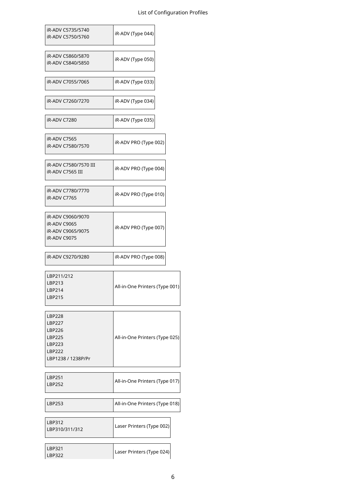٦

| iR-ADV C5735/5740<br>iR-ADV C5750/5760                                                | iR-ADV (Type 044)              |
|---------------------------------------------------------------------------------------|--------------------------------|
| iR-ADV C5860/5870<br>iR-ADV C5840/5850                                                | iR-ADV (Type 050)              |
| iR-ADV C7055/7065                                                                     | iR-ADV (Type 033)              |
| iR-ADV C7260/7270                                                                     | iR-ADV (Type 034)              |
| <b>iR-ADV C7280</b>                                                                   | iR-ADV (Type 035)              |
| iR-ADV C7565<br>iR-ADV C7580/7570                                                     | iR-ADV PRO (Type 002)          |
| iR-ADV C7580/7570 III<br>iR-ADV C7565 III                                             | iR-ADV PRO (Type 004)          |
| iR-ADV C7780/7770<br>iR-ADV C7765                                                     | iR-ADV PRO (Type 010)          |
| iR-ADV C9060/9070<br>iR-ADV C9065<br>iR-ADV C9065/9075<br>iR-ADV C9075                | iR-ADV PRO (Type 007)          |
|                                                                                       |                                |
| iR-ADV C9270/9280                                                                     | iR-ADV PRO (Type 008)          |
| LBP211/212<br>LBP213<br>LBP214<br>LBP215                                              | All-in-One Printers (Type 001) |
| LBP228<br><b>LBP227</b><br>LBP226<br>LBP225<br>LBP223<br>LBP222<br>LBP1238 / 1238P/Pr | All-in-One Printers (Type 025) |
| LBP251<br>LBP252                                                                      | All-in-One Printers (Type 017) |
| LBP253                                                                                | All-in-One Printers (Type 018) |
| LBP312<br>LBP310/311/312                                                              | Laser Printers (Type 002)      |

Г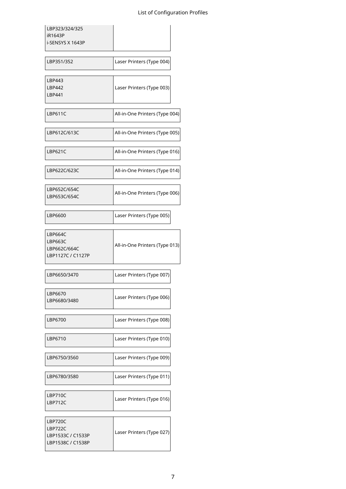| LBP323/324/325<br>iR1643P<br>i-SENSYS X 1643P                  |                                |
|----------------------------------------------------------------|--------------------------------|
| LBP351/352                                                     | Laser Printers (Type 004)      |
| LBP443<br><b>LBP442</b><br><b>LBP441</b>                       | Laser Printers (Type 003)      |
| <b>LBP611C</b>                                                 | All-in-One Printers (Type 004) |
| LBP612C/613C                                                   | All-in-One Printers (Type 005) |
| LBP621C                                                        | All-in-One Printers (Type 016) |
| LBP622C/623C                                                   | All-in-One Printers (Type 014) |
| LBP652C/654C<br>LBP653C/654C                                   | All-in-One Printers (Type 006) |
| LBP6600                                                        | Laser Printers (Type 005)      |
| <b>LBP664C</b><br>LBP663C<br>LBP662C/664C<br>LBP1127C / C1127P | All-in-One Printers (Type 013) |
| LBP6650/3470                                                   | Laser Printers (Type 007)      |
| LBP6670<br>LBP6680/3480                                        | Laser Printers (Type 006)      |
| LBP6700                                                        | Laser Printers (Type 008)      |
| LBP6710                                                        | Laser Printers (Type 010)      |
| LBP6750/3560                                                   | Laser Printers (Type 009)      |
| LBP6780/3580                                                   | Laser Printers (Type 011)      |
| LBP710C<br><b>LBP712C</b>                                      | Laser Printers (Type 016)      |
| LBP720C<br>LBP722C<br>LBP1533C / C1533P<br>LBP1538C / C1538P   | Laser Printers (Type 027)      |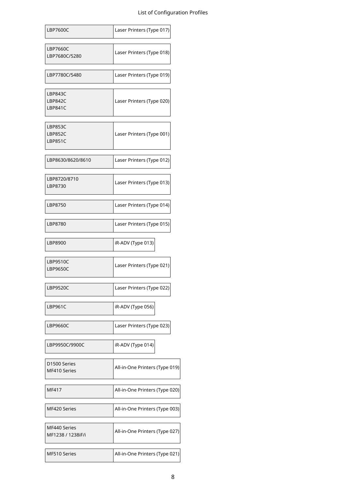| <b>LBP7600C</b>                   | Laser Printers (Type 017)      |
|-----------------------------------|--------------------------------|
| LBP7660C<br>LBP7680C/5280         | Laser Printers (Type 018)      |
| LBP7780C/5480                     | Laser Printers (Type 019)      |
| LBP843C<br>LBP842C<br>LBP841C     | Laser Printers (Type 020)      |
| LBP853C<br>LBP852C<br>LBP851C     | Laser Printers (Type 001)      |
| LBP8630/8620/8610                 | Laser Printers (Type 012)      |
| LBP8720/8710<br>LBP8730           | Laser Printers (Type 013)      |
| LBP8750                           | Laser Printers (Type 014)      |
| LBP8780                           | Laser Printers (Type 015)      |
| LBP8900                           | iR-ADV (Type 013)              |
| LBP9510C<br><b>LBP9650C</b>       | Laser Printers (Type 021)      |
| LBP9520C                          | Laser Printers (Type 022)      |
| LBP961C                           | iR-ADV (Type 056)              |
| LBP9660C                          | Laser Printers (Type 023)      |
| LBP9950C/9900C                    | iR-ADV (Type 014)              |
| D1500 Series<br>MF410 Series      | All-in-One Printers (Type 019) |
| MF417                             | All-in-One Printers (Type 020) |
| MF420 Series                      | All-in-One Printers (Type 003) |
| MF440 Series<br>MF1238 / 1238iF/i | All-in-One Printers (Type 027) |
| MF510 Series                      | All-in-One Printers (Type 021) |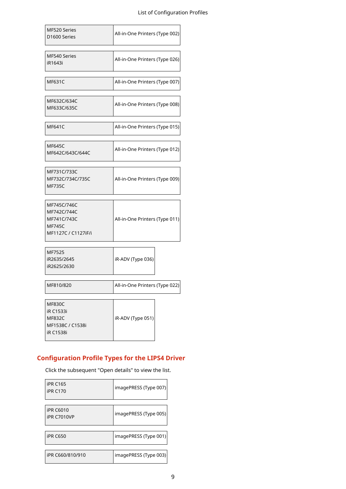| MF520 Series<br>D1600 Series                                                        | All-in-One Printers (Type 002) |
|-------------------------------------------------------------------------------------|--------------------------------|
| MF540 Series<br>iR1643i                                                             | All-in-One Printers (Type 026) |
| <b>MF631C</b>                                                                       | All-in-One Printers (Type 007) |
| MF632C/634C<br>MF633C/635C                                                          | All-in-One Printers (Type 008) |
| <b>MF641C</b>                                                                       | All-in-One Printers (Type 015) |
| <b>MF645C</b><br>MF642C/643C/644C                                                   | All-in-One Printers (Type 012) |
| MF731C/733C<br>MF732C/734C/735C<br><b>MF735C</b>                                    | All-in-One Printers (Type 009) |
| MF745C/746C<br>MF742C/744C<br>MF741C/743C<br><b>MF745C</b><br>MF1127C / C1127iF/i   | All-in-One Printers (Type 011) |
| MF7525<br>iR2635/2645<br>iR2625/2630                                                | iR-ADV (Type 036)              |
| MF810/820                                                                           | All-in-One Printers (Type 022) |
| <b>MF830C</b><br>iR C1533i<br><b>MF832C</b><br>MF1538C / C1538i<br><b>iR C1538i</b> | iR-ADV (Type 051)              |

### **Configuration Profile Types for the LIPS4 Driver**

Click the subsequent "Open details" to view the list.

| <b>iPR C165</b><br><b>iPR C170</b>     | imagePRESS (Type 007) |
|----------------------------------------|-----------------------|
| <b>iPR C6010</b><br><b>iPR C7010VP</b> | imagePRESS (Type 005) |
| <b>iPR C650</b>                        | imagePRESS (Type 001) |
| iPR C660/810/910                       | imagePRESS (Type 003) |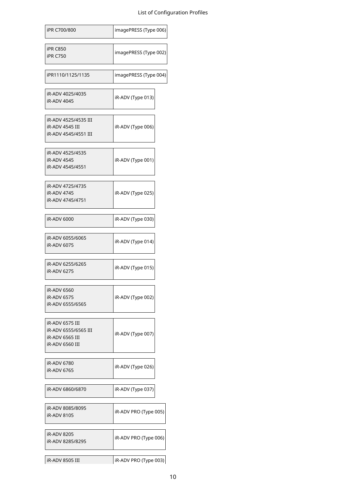| iPR C700/800                                                                  | imagePRESS (Type 006) |
|-------------------------------------------------------------------------------|-----------------------|
| <b>iPR C850</b><br><b>iPR C750</b>                                            | imagePRESS (Type 002) |
| iPR1110/1125/1135                                                             | imagePRESS (Type 004) |
| iR-ADV 4025/4035<br>iR-ADV 4045                                               | iR-ADV (Type 013)     |
| iR-ADV 4525/4535 III<br>iR-ADV 4545 III<br>iR-ADV 4545/4551 III               | iR-ADV (Type 006)     |
| iR-ADV 4525/4535<br><b>iR-ADV 4545</b><br>iR-ADV 4545/4551                    | iR-ADV (Type 001)     |
| iR-ADV 4725/4735<br>iR-ADV 4745<br>iR-ADV 4745/4751                           | iR-ADV (Type 025)     |
| iR-ADV 6000                                                                   | iR-ADV (Type 030)     |
| iR-ADV 6055/6065<br>iR-ADV 6075                                               | iR-ADV (Type 014)     |
| iR-ADV 6255/6265<br>iR-ADV 6275                                               | iR-ADV (Type 015)     |
| iR-ADV 6560<br>iR-ADV 6575<br>iR-ADV 6555/6565                                | iR-ADV (Type 002)     |
| iR-ADV 6575 III<br>iR-ADV 6555/6565 III<br>iR-ADV 6565 III<br>iR-ADV 6560 III | iR-ADV (Type 007)     |
| iR-ADV 6780<br>iR-ADV 6765                                                    | iR-ADV (Type 026)     |
| iR-ADV 6860/6870                                                              | iR-ADV (Type 037)     |
| iR-ADV 8085/8095<br>iR-ADV 8105                                               | iR-ADV PRO (Type 005) |
| iR-ADV 8205<br>iR-ADV 8285/8295                                               | iR-ADV PRO (Type 006) |
| iR-ADV 8505 III                                                               | iR-ADV PRO (Type 003) |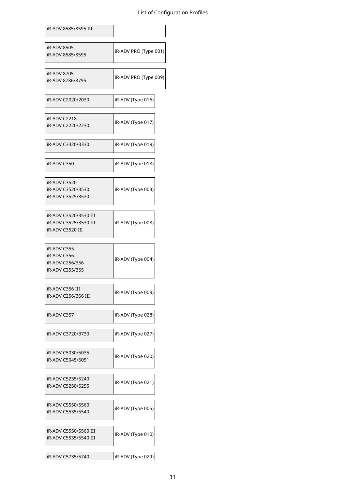| iR-ADV 8585/8595 III                                               |                       |
|--------------------------------------------------------------------|-----------------------|
| iR-ADV 8505<br>iR-ADV 8585/8595                                    | iR-ADV PRO (Type 001) |
| iR-ADV 8705<br>iR-ADV 8786/8795                                    | iR-ADV PRO (Type 009) |
| iR-ADV C2020/2030                                                  | iR-ADV (Type 016)     |
| iR-ADV C2218<br>iR-ADV C2220/2230                                  | iR-ADV (Type 017)     |
| iR-ADV C3320/3330                                                  | iR-ADV (Type 019)     |
| iR-ADV C350                                                        | iR-ADV (Type 018)     |
| iR-ADV C3520<br>iR-ADV C3520/3530<br>iR-ADV C3525/3530             | iR-ADV (Type 003)     |
| iR-ADV C3520/3530 III<br>iR-ADV C3525/3530 III<br>iR-ADV C3520 III | iR-ADV (Type 008)     |
| iR-ADV C355<br>iR-ADV C356<br>iR-ADV C256/356<br>iR-ADV C255/355   | iR-ADV (Type 004)     |
| iR-ADV C356 III<br>iR-ADV C256/356 III                             | iR-ADV (Type 009)     |
| iR-ADV C357                                                        | iR-ADV (Type 028)     |
| iR-ADV C3720/3730                                                  | iR-ADV (Type 027)     |
| iR-ADV C5030/5035<br>iR-ADV C5045/5051                             | iR-ADV (Type 020)     |
| iR-ADV C5235/5240<br>iR-ADV C5250/5255                             | iR-ADV (Type 021)     |
| iR-ADV C5550/5560<br>iR-ADV C5535/5540                             | iR-ADV (Type 005)     |
| iR-ADV C5550/5560 III<br>iR-ADV C5535/5540 III                     | iR-ADV (Type 010)     |
| iR-ADV C5735/5740                                                  | iR-ADV (Type 029)     |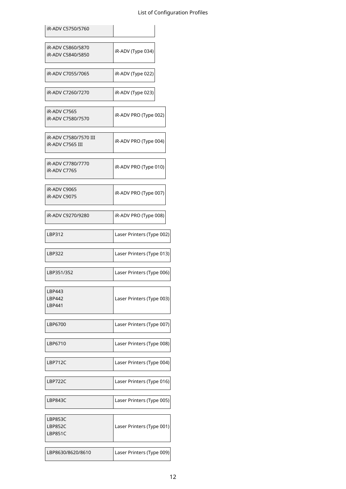| iR-ADV C5750/5760                                |                                                                                                                                               |
|--------------------------------------------------|-----------------------------------------------------------------------------------------------------------------------------------------------|
| iR-ADV C5860/5870<br>iR-ADV C5840/5850           | iR-ADV (Type 034)                                                                                                                             |
| iR-ADV C7055/7065                                | iR-ADV (Type 022)                                                                                                                             |
| iR-ADV C7260/7270                                | iR-ADV (Type 023)                                                                                                                             |
| iR-ADV C7565<br>iR-ADV C7580/7570                | iR-ADV PRO (Type 002)                                                                                                                         |
| iR-ADV C7580/7570 III<br><b>iR-ADV C7565 III</b> | iR-ADV PRO (Type 004)                                                                                                                         |
| iR-ADV C7780/7770<br>iR-ADV C7765                | iR-ADV PRO (Type 010)                                                                                                                         |
| <b>iR-ADV C9065</b><br>iR-ADV C9075              | iR-ADV PRO (Type 007)                                                                                                                         |
| iR-ADV C9270/9280                                | iR-ADV PRO (Type 008)                                                                                                                         |
| LBP312                                           | Laser Printers (Type 002)                                                                                                                     |
| LBP322                                           | Laser Printers (Type 013)                                                                                                                     |
| LBP351/352                                       | Laser Printers (Type 006)                                                                                                                     |
| LBP443<br>LBP442<br>LBP441                       |                                                                                                                                               |
|                                                  |                                                                                                                                               |
| LBP6700                                          |                                                                                                                                               |
| LBP6710                                          |                                                                                                                                               |
| LBP712C                                          |                                                                                                                                               |
| LBP722C                                          | Laser Printers (Type 003)<br>Laser Printers (Type 007)<br>Laser Printers (Type 008)<br>Laser Printers (Type 004)<br>Laser Printers (Type 016) |
| LBP843C                                          | Laser Printers (Type 005)                                                                                                                     |
| LBP853C<br>LBP852C<br>LBP851C                    | Laser Printers (Type 001)                                                                                                                     |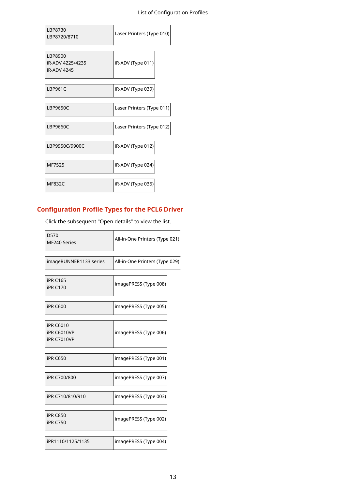| LBP8730<br>LBP8720/8710                    | Laser Printers (Type 010) |
|--------------------------------------------|---------------------------|
| LBP8900<br>iR-ADV 4225/4235<br>iR-ADV 4245 | iR-ADV (Type 011)         |
| <b>LBP961C</b>                             | iR-ADV (Type 039)         |
| <b>LBP9650C</b>                            | Laser Printers (Type 011) |
| LBP9660C                                   | Laser Printers (Type 012) |
| LBP9950C/9900C                             | iR-ADV (Type 012)         |
| MF7525                                     | iR-ADV (Type 024)         |
| <b>MF832C</b>                              | iR-ADV (Type 035)         |

## **Configuration Profile Types for the PCL6 Driver**

Click the subsequent "Open details" to view the list.

| D570<br>MF240 Series                                         | All-in-One Printers (Type 021) |
|--------------------------------------------------------------|--------------------------------|
| imageRUNNER1133 series                                       | All-in-One Printers (Type 029) |
| <b>iPR C165</b><br><b>iPR C170</b>                           | imagePRESS (Type 008)          |
| <b>iPR C600</b>                                              | imagePRESS (Type 005)          |
| <b>iPR C6010</b><br><b>iPR C6010VP</b><br><b>iPR C7010VP</b> | imagePRESS (Type 006)          |
| <b>iPR C650</b>                                              | imagePRESS (Type 001)          |
| iPR C700/800                                                 | imagePRESS (Type 007)          |
| iPR C710/810/910                                             | imagePRESS (Type 003)          |
| <b>iPR C850</b><br><b>iPR C750</b>                           | imagePRESS (Type 002)          |
| iPR1110/1125/1135                                            | imagePRESS (Type 004)          |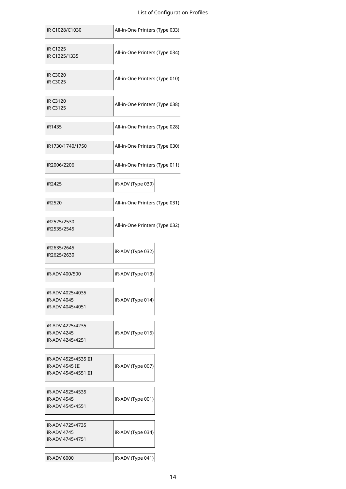| iR C1028/C1030                                                  | All-in-One Printers (Type 033) |
|-----------------------------------------------------------------|--------------------------------|
| <b>iR C1225</b><br>iR C1325/1335                                | All-in-One Printers (Type 034) |
| iR C3020<br>iR C3025                                            | All-in-One Printers (Type 010) |
| iR C3120<br>iR C3125                                            | All-in-One Printers (Type 038) |
| iR1435                                                          | All-in-One Printers (Type 028) |
| iR1730/1740/1750                                                | All-in-One Printers (Type 030) |
| iR2006/2206                                                     | All-in-One Printers (Type 011) |
| iR2425                                                          | iR-ADV (Type 039)              |
| iR2520                                                          | All-in-One Printers (Type 031) |
| iR2525/2530<br>iR2535/2545                                      | All-in-One Printers (Type 032) |
| iR2635/2645<br>iR2625/2630                                      | iR-ADV (Type 032)              |
| iR-ADV 400/500                                                  | iR-ADV (Type 013)              |
| iR-ADV 4025/4035<br>iR-ADV 4045<br>iR-ADV 4045/4051             | iR-ADV (Type 014)              |
| iR-ADV 4225/4235<br>iR-ADV 4245<br>iR-ADV 4245/4251             | iR-ADV (Type 015)              |
| iR-ADV 4525/4535 III<br>iR-ADV 4545 III<br>iR-ADV 4545/4551 III | iR-ADV (Type 007)              |
| iR-ADV 4525/4535<br>iR-ADV 4545<br>iR-ADV 4545/4551             | iR-ADV (Type 001)              |
| iR-ADV 4725/4735<br>iR-ADV 4745<br>iR-ADV 4745/4751             | iR-ADV (Type 034)              |
| iR-ADV 6000                                                     | iR-ADV (Type 041)              |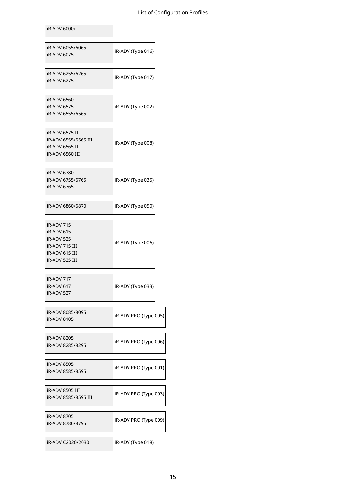| iR-ADV 6000i                                                                                 |                       |
|----------------------------------------------------------------------------------------------|-----------------------|
| iR-ADV 6055/6065<br>iR-ADV 6075                                                              | iR-ADV (Type 016)     |
| iR-ADV 6255/6265<br>iR-ADV 6275                                                              | iR-ADV (Type 017)     |
| iR-ADV 6560<br>iR-ADV 6575<br>iR-ADV 6555/6565                                               | iR-ADV (Type 002)     |
| iR-ADV 6575 III<br>iR-ADV 6555/6565 III<br><b>iR-ADV 6565 III</b><br><b>iR-ADV 6560 III</b>  | iR-ADV (Type 008)     |
| iR-ADV 6780<br>iR-ADV 6755/6765<br>iR-ADV 6765                                               | iR-ADV (Type 035)     |
| iR-ADV 6860/6870                                                                             | iR-ADV (Type 050)     |
| iR-ADV 715<br>iR-ADV 615<br>iR-ADV 525<br>iR-ADV 715 III<br>iR-ADV 615 III<br>iR-ADV 525 III | iR-ADV (Type 006)     |
| iR-ADV 717<br>iR-ADV 617<br>iR-ADV 527                                                       | iR-ADV (Type 033)     |
| iR-ADV 8085/8095<br>iR-ADV 8105                                                              | iR-ADV PRO (Type 005) |
| <b>iR-ADV 8205</b><br>iR-ADV 8285/8295                                                       | iR-ADV PRO (Type 006) |
| iR-ADV 8505<br>iR-ADV 8585/8595                                                              | iR-ADV PRO (Type 001) |
| iR-ADV 8505 III<br>iR-ADV 8585/8595 III                                                      | iR-ADV PRO (Type 003) |
| iR-ADV 8705<br>iR-ADV 8786/8795                                                              | iR-ADV PRO (Type 009) |
| iR-ADV C2020/2030                                                                            | iR-ADV (Type 018)     |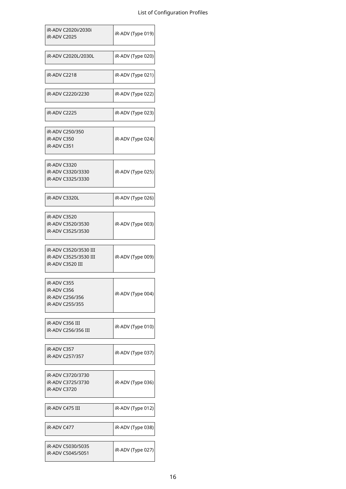| iR-ADV C2020i/2030i<br>iR-ADV C2025       | iR-ADV (Type 019) |
|-------------------------------------------|-------------------|
| iR-ADV C2020L/2030L                       | iR-ADV (Type 020) |
| <b>iR-ADV C2218</b>                       | iR-ADV (Type 021) |
| iR-ADV C2220/2230                         | iR-ADV (Type 022) |
| iR-ADV C2225                              | iR-ADV (Type 023) |
| iR-ADV C250/350                           |                   |
| iR-ADV C350<br>iR-ADV C351                | iR-ADV (Type 024) |
| iR-ADV C3320                              |                   |
| iR-ADV C3320/3330                         | iR-ADV (Type 025) |
| iR-ADV C3325/3330                         |                   |
| iR-ADV C3320L                             | iR-ADV (Type 026) |
| iR-ADV C3520                              |                   |
| iR-ADV C3520/3530<br>iR-ADV C3525/3530    | iR-ADV (Type 003) |
|                                           |                   |
| iR-ADV C3520/3530 III                     |                   |
| iR-ADV C3525/3530 III<br>iR-ADV C3520 III | iR-ADV (Type 009) |
|                                           |                   |
| iR-ADV C355                               |                   |
| iR-ADV C356<br>iR-ADV C256/356            | iR-ADV (Type 004) |
| iR-ADV C255/355                           |                   |
|                                           |                   |
| iR-ADV C356 III<br>iR-ADV C256/356 III    | iR-ADV (Type 010) |
|                                           |                   |
| iR-ADV C357<br>iR-ADV C257/357            | iR-ADV (Type 037) |
|                                           |                   |
| iR-ADV C3720/3730                         |                   |
| iR-ADV C3725/3730                         | iR-ADV (Type 036) |
| iR-ADV C3720                              |                   |
| iR-ADV C475 III                           | iR-ADV (Type 012) |
| iR-ADV C477                               | iR-ADV (Type 038) |
| iR-ADV C5030/5035                         |                   |
| iR-ADV C5045/5051                         | iR-ADV (Type 027) |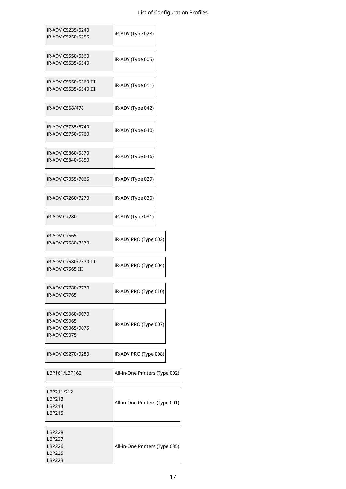| iR-ADV C5235/5240<br>iR-ADV C5250/5255                                 | iR-ADV (Type 028)              |
|------------------------------------------------------------------------|--------------------------------|
| iR-ADV C5550/5560<br>iR-ADV C5535/5540                                 | iR-ADV (Type 005)              |
| iR-ADV C5550/5560 III<br>iR-ADV C5535/5540 III                         | iR-ADV (Type 011)              |
| iR-ADV C568/478                                                        | iR-ADV (Type 042)              |
| iR-ADV C5735/5740<br>iR-ADV C5750/5760                                 | iR-ADV (Type 040)              |
| iR-ADV C5860/5870<br>iR-ADV C5840/5850                                 | iR-ADV (Type 046)              |
| iR-ADV C7055/7065                                                      | iR-ADV (Type 029)              |
| iR-ADV C7260/7270                                                      | iR-ADV (Type 030)              |
| iR-ADV C7280                                                           | iR-ADV (Type 031)              |
| iR-ADV C7565<br>iR-ADV C7580/7570                                      | iR-ADV PRO (Type 002)          |
| iR-ADV C7580/7570 III<br>iR-ADV C7565 III                              | iR-ADV PRO (Type 004)          |
| iR-ADV C7780/7770<br>iR-ADV C7765                                      | iR-ADV PRO (Type 010)          |
| iR-ADV C9060/9070<br>iR-ADV C9065<br>iR-ADV C9065/9075<br>iR-ADV C9075 | iR-ADV PRO (Type 007)          |
| iR-ADV C9270/9280                                                      | iR-ADV PRO (Type 008)          |
| LBP161/LBP162                                                          | All-in-One Printers (Type 002) |
| LBP211/212<br>LBP213<br>LBP214<br>LBP215                               | All-in-One Printers (Type 001) |
| <b>LBP228</b>                                                          |                                |

| <b>LBP227</b> |                                |
|---------------|--------------------------------|
| LBP226        | All-in-One Printers (Type 035) |
| LBP225        |                                |
| LBP223        |                                |
|               |                                |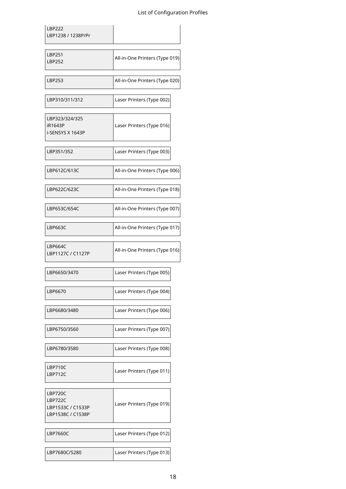| <b>LBP222</b><br>LBP1238 / 1238P/Pr                          |                                |
|--------------------------------------------------------------|--------------------------------|
| <b>LBP251</b><br><b>LBP252</b>                               | All-in-One Printers (Type 019) |
| LBP253                                                       | All-in-One Printers (Type 020) |
| LBP310/311/312                                               | Laser Printers (Type 002)      |
| LBP323/324/325<br>iR1643P<br>i-SENSYS X 1643P                | Laser Printers (Type 016)      |
| LBP351/352                                                   | Laser Printers (Type 003)      |
| LBP612C/613C                                                 | All-in-One Printers (Type 006) |
| LBP622C/623C                                                 | All-in-One Printers (Type 018) |
| LBP653C/654C                                                 | All-in-One Printers (Type 007) |
| <b>LBP663C</b>                                               | All-in-One Printers (Type 017) |
| <b>LBP664C</b><br>LBP1127C / C1127P                          | All-in-One Printers (Type 016) |
| LBP6650/3470                                                 | Laser Printers (Type 005)      |
| LBP6670                                                      | Laser Printers (Type 004)      |
| LBP6680/3480                                                 | Laser Printers (Type 006)      |
| LBP6750/3560                                                 | Laser Printers (Type 007)      |
| LBP6780/3580                                                 | Laser Printers (Type 008)      |
| LBP710C<br>LBP712C                                           | Laser Printers (Type 011)      |
| LBP720C<br>LBP722C<br>LBP1533C / C1533P<br>LBP1538C / C1538P | Laser Printers (Type 019)      |
| <b>LBP7660C</b>                                              | Laser Printers (Type 012)      |
| LBP7680C/5280                                                | Laser Printers (Type 013)      |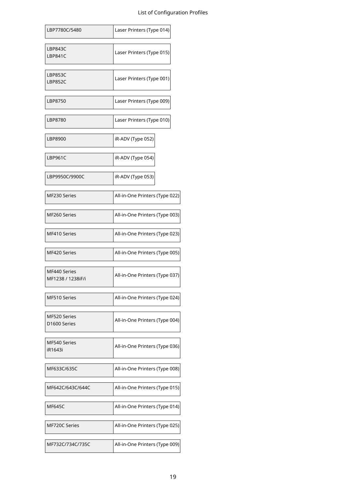| LBP7780C/5480                     | Laser Printers (Type 014)      |
|-----------------------------------|--------------------------------|
| LBP843C<br>LBP841C                | Laser Printers (Type 015)      |
| <b>LBP853C</b><br><b>LBP852C</b>  | Laser Printers (Type 001)      |
| LBP8750                           | Laser Printers (Type 009)      |
| LBP8780                           | Laser Printers (Type 010)      |
| LBP8900                           | iR-ADV (Type 052)              |
| <b>LBP961C</b>                    | iR-ADV (Type 054)              |
| LBP9950C/9900C                    | iR-ADV (Type 053)              |
| MF230 Series                      | All-in-One Printers (Type 022) |
| MF260 Series                      | All-in-One Printers (Type 003) |
| MF410 Series                      | All-in-One Printers (Type 023) |
| MF420 Series                      | All-in-One Printers (Type 005) |
| MF440 Series<br>MF1238 / 1238iF/i | All-in-One Printers (Type 037) |
| MF510 Series                      | All-in-One Printers (Type 024) |
| MF520 Series<br>D1600 Series      | All-in-One Printers (Type 004) |
| MF540 Series<br>iR1643i           | All-in-One Printers (Type 036) |
| MF633C/635C                       | All-in-One Printers (Type 008) |
| MF642C/643C/644C                  | All-in-One Printers (Type 015) |
| <b>MF645C</b>                     | All-in-One Printers (Type 014) |
| MF720C Series                     | All-in-One Printers (Type 025) |
| MF732C/734C/735C                  | All-in-One Printers (Type 009) |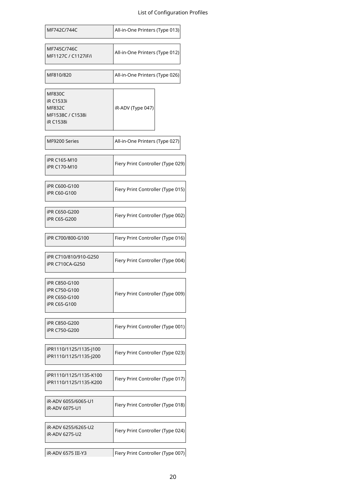| MF742C/744C                                                                                | All-in-One Printers (Type 013)    |
|--------------------------------------------------------------------------------------------|-----------------------------------|
| MF745C/746C<br>MF1127C / C1127iF/i                                                         | All-in-One Printers (Type 012)    |
| MF810/820                                                                                  | All-in-One Printers (Type 026)    |
| <b>MF830C</b><br><b>iR C1533i</b><br><b>MF832C</b><br>MF1538C / C1538i<br><b>iR C1538i</b> | iR-ADV (Type 047)                 |
| MF9200 Series                                                                              | All-in-One Printers (Type 027)    |
| iPR C165-M10<br>iPR C170-M10                                                               | Fiery Print Controller (Type 029) |
| iPR C600-G100<br>iPR C60-G100                                                              | Fiery Print Controller (Type 015) |
| iPR C650-G200<br>iPR C65-G200                                                              | Fiery Print Controller (Type 002) |
| iPR C700/800-G100                                                                          | Fiery Print Controller (Type 016) |
| iPR C710/810/910-G250<br><b>iPR C710CA-G250</b>                                            | Fiery Print Controller (Type 004) |
| iPR C850-G100<br>iPR C750-G100<br>iPR C650-G100<br>iPR C65-G100                            | Fiery Print Controller (Type 009) |
| iPR C850-G200<br>iPR C750-G200                                                             | Fiery Print Controller (Type 001) |
| iPR1110/1125/1135-J100<br>iPR1110/1125/1135-J200                                           | Fiery Print Controller (Type 023) |
| iPR1110/1125/1135-K100<br>iPR1110/1125/1135-K200                                           | Fiery Print Controller (Type 017) |
| iR-ADV 6055/6065-U1<br>iR-ADV 6075-U1                                                      | Fiery Print Controller (Type 018) |
| iR-ADV 6255/6265-U2<br>iR-ADV 6275-U2                                                      | Fiery Print Controller (Type 024) |
| iR-ADV 6575 III-Y3                                                                         | Fiery Print Controller (Type 007) |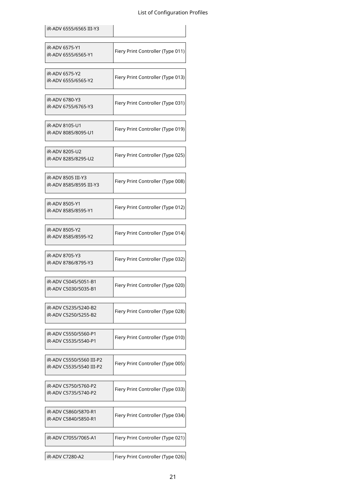| iR-ADV 6555/6565 III-Y3                              |                                   |
|------------------------------------------------------|-----------------------------------|
| iR-ADV 6575-Y1<br>iR-ADV 6555/6565-Y1                | Fiery Print Controller (Type 011) |
| iR-ADV 6575-Y2<br>iR-ADV 6555/6565-Y2                | Fiery Print Controller (Type 013) |
| iR-ADV 6780-Y3<br>iR-ADV 6755/6765-Y3                | Fiery Print Controller (Type 031) |
| iR-ADV 8105-U1<br>iR-ADV 8085/8095-U1                | Fiery Print Controller (Type 019) |
| iR-ADV 8205-U2<br>iR-ADV 8285/8295-U2                | Fiery Print Controller (Type 025) |
| iR-ADV 8505 III-Y3<br>iR-ADV 8585/8595 III-Y3        | Fiery Print Controller (Type 008) |
| iR-ADV 8505-Y1<br>iR-ADV 8585/8595-Y1                | Fiery Print Controller (Type 012) |
| iR-ADV 8505-Y2<br>iR-ADV 8585/8595-Y2                | Fiery Print Controller (Type 014) |
| iR-ADV 8705-Y3<br>iR-ADV 8786/8795-Y3                | Fiery Print Controller (Type 032) |
| iR-ADV C5045/5051-B1<br>iR-ADV C5030/5035-B1         | Fiery Print Controller (Type 020) |
| iR-ADV C5235/5240-B2<br>iR-ADV C5250/5255-B2         | Fiery Print Controller (Type 028) |
| iR-ADV C5550/5560-P1<br>iR-ADV C5535/5540-P1         | Fiery Print Controller (Type 010) |
| iR-ADV C5550/5560 III-P2<br>iR-ADV C5535/5540 III-P2 | Fiery Print Controller (Type 005) |
| iR-ADV C5750/5760-P2<br>iR-ADV C5735/5740-P2         | Fiery Print Controller (Type 033) |
| iR-ADV C5860/5870-R1<br>iR-ADV C5840/5850-R1         | Fiery Print Controller (Type 034) |
| iR-ADV C7055/7065-A1                                 | Fiery Print Controller (Type 021) |
| iR-ADV C7280-A2                                      | Fiery Print Controller (Type 026) |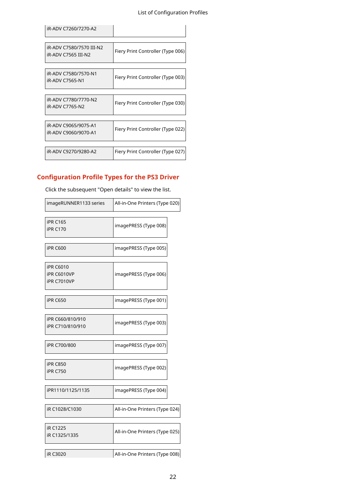| iR-ADV C7260/7270-A2                            |                                   |
|-------------------------------------------------|-----------------------------------|
|                                                 |                                   |
| iR-ADV C7580/7570 III-N2<br>iR-ADV C7565 III-N2 | Fiery Print Controller (Type 006) |
|                                                 |                                   |
| iR-ADV C7580/7570-N1<br>iR-ADV C7565-N1         | Fiery Print Controller (Type 003) |
|                                                 |                                   |
| iR-ADV C7780/7770-N2<br><b>iR-ADV C7765-N2</b>  | Fiery Print Controller (Type 030) |
|                                                 |                                   |
| iR-ADV C9065/9075-A1<br>iR-ADV C9060/9070-A1    | Fiery Print Controller (Type 022) |
|                                                 |                                   |
| iR-ADV C9270/9280-A2                            | Fiery Print Controller (Type 027) |

## **Configuration Profile Types for the PS3 Driver**

| Click the subsequent Open details to view the list.   |                                |
|-------------------------------------------------------|--------------------------------|
| imageRUNNER1133 series                                | All-in-One Printers (Type 020) |
| <b>iPR C165</b><br><b>iPR C170</b>                    | imagePRESS (Type 008)          |
| <b>iPR C600</b>                                       | imagePRESS (Type 005)          |
| <b>iPR C6010</b><br><b>iPR C6010VP</b><br>iPR C7010VP | imagePRESS (Type 006)          |
| <b>iPR C650</b>                                       | imagePRESS (Type 001)          |
| iPR C660/810/910<br>iPR C710/810/910                  | imagePRESS (Type 003)          |
| iPR C700/800                                          | imagePRESS (Type 007)          |
| <b>iPR C850</b><br><b>iPR C750</b>                    | imagePRESS (Type 002)          |
| iPR1110/1125/1135                                     | imagePRESS (Type 004)          |
| iR C1028/C1030                                        | All-in-One Printers (Type 024) |
| iR C1225<br>iR C1325/1335                             | All-in-One Printers (Type 025) |
| <b>iR C3020</b>                                       | All-in-One Printers (Type 008) |

Click the subsequent "Open details" to view the list.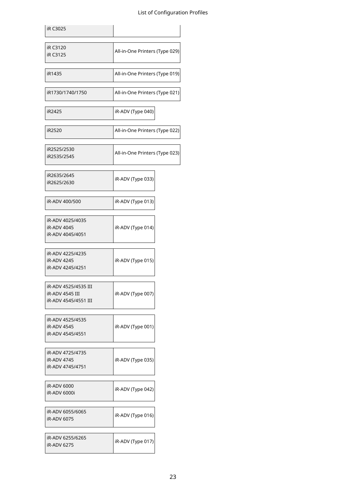| iR C3025                                                        |                                |
|-----------------------------------------------------------------|--------------------------------|
| iR C3120<br>iR C3125                                            | All-in-One Printers (Type 029) |
| iR1435                                                          | All-in-One Printers (Type 019) |
| iR1730/1740/1750                                                | All-in-One Printers (Type 021) |
| iR2425                                                          | iR-ADV (Type 040)              |
| iR2520                                                          | All-in-One Printers (Type 022) |
| iR2525/2530<br>iR2535/2545                                      | All-in-One Printers (Type 023) |
| iR2635/2645<br>iR2625/2630                                      | iR-ADV (Type 033)              |
| iR-ADV 400/500                                                  | iR-ADV (Type 013)              |
| iR-ADV 4025/4035<br>iR-ADV 4045<br>iR-ADV 4045/4051             | iR-ADV (Type 014)              |
| iR-ADV 4225/4235<br>iR-ADV 4245<br>iR-ADV 4245/4251             | iR-ADV (Type 015)              |
| iR-ADV 4525/4535 III<br>iR-ADV 4545 III<br>iR-ADV 4545/4551 III | iR-ADV (Type 007)              |
| iR-ADV 4525/4535<br>iR-ADV 4545<br>iR-ADV 4545/4551             | iR-ADV (Type 001)              |
| iR-ADV 4725/4735<br>iR-ADV 4745<br>iR-ADV 4745/4751             | iR-ADV (Type 035)              |
| <b>iR-ADV 6000</b><br>iR-ADV 6000i                              | iR-ADV (Type 042)              |
| iR-ADV 6055/6065<br>iR-ADV 6075                                 | iR-ADV (Type 016)              |
| iR-ADV 6255/6265<br>iR-ADV 6275                                 | iR-ADV (Type 017)              |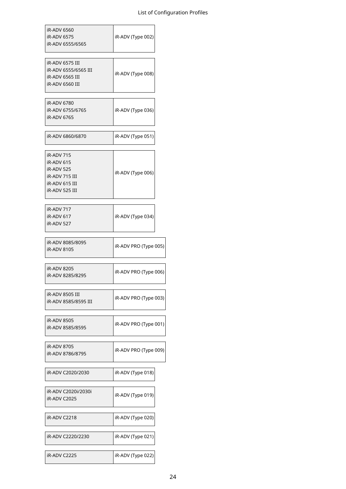| iR-ADV 6560<br>iR-ADV 6575<br>iR-ADV 6555/6565                                               | iR-ADV (Type 002)     |
|----------------------------------------------------------------------------------------------|-----------------------|
| iR-ADV 6575 III<br>iR-ADV 6555/6565 III<br>iR-ADV 6565 III<br>iR-ADV 6560 III                | iR-ADV (Type 008)     |
| iR-ADV 6780<br>iR-ADV 6755/6765<br>iR-ADV 6765                                               | iR-ADV (Type 036)     |
| iR-ADV 6860/6870                                                                             | iR-ADV (Type 051)     |
| iR-ADV 715<br>iR-ADV 615<br>iR-ADV 525<br>iR-ADV 715 III<br>iR-ADV 615 III<br>iR-ADV 525 III | iR-ADV (Type 006)     |
| iR-ADV 717<br>iR-ADV 617<br>iR-ADV 527                                                       | iR-ADV (Type 034)     |
| iR-ADV 8085/8095<br>iR-ADV 8105                                                              | iR-ADV PRO (Type 005) |
| iR-ADV 8205<br>iR-ADV 8285/8295                                                              | iR-ADV PRO (Type 006) |
| iR-ADV 8505 III<br>iR-ADV 8585/8595 III                                                      | iR-ADV PRO (Type 003) |
| iR-ADV 8505<br>iR-ADV 8585/8595                                                              | iR-ADV PRO (Type 001) |
| iR-ADV 8705<br>iR-ADV 8786/8795                                                              | iR-ADV PRO (Type 009) |
| iR-ADV C2020/2030                                                                            | iR-ADV (Type 018)     |
| iR-ADV C2020i/2030i<br>iR-ADV C2025                                                          | iR-ADV (Type 019)     |
| iR-ADV C2218                                                                                 | iR-ADV (Type 020)     |
| iR-ADV C2220/2230                                                                            | iR-ADV (Type 021)     |
| iR-ADV C2225                                                                                 | iR-ADV (Type 022)     |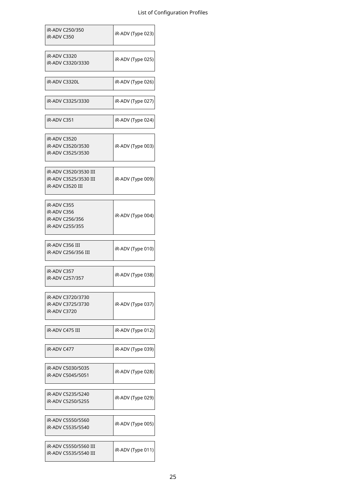| iR-ADV C250/350<br>iR-ADV C350                                     | iR-ADV (Type 023) |
|--------------------------------------------------------------------|-------------------|
| <b>iR-ADV C3320</b><br>iR-ADV C3320/3330                           | iR-ADV (Type 025) |
| iR-ADV C3320L                                                      | iR-ADV (Type 026) |
| iR-ADV C3325/3330                                                  | iR-ADV (Type 027) |
| iR-ADV C351                                                        | iR-ADV (Type 024) |
| iR-ADV C3520<br>iR-ADV C3520/3530<br>iR-ADV C3525/3530             | iR-ADV (Type 003) |
| iR-ADV C3520/3530 III<br>iR-ADV C3525/3530 III<br>iR-ADV C3520 III | iR-ADV (Type 009) |
| iR-ADV C355<br>iR-ADV C356<br>iR-ADV C256/356<br>iR-ADV C255/355   | iR-ADV (Type 004) |
| iR-ADV C356 III<br>iR-ADV C256/356 III                             | iR-ADV (Type 010) |
| iR-ADV C357<br>iR-ADV C257/357                                     | iR-ADV (Type 038) |
| iR-ADV C3720/3730<br>iR-ADV C3725/3730<br>iR-ADV C3720             | iR-ADV (Type 037) |
| iR-ADV C475 III                                                    | iR-ADV (Type 012) |
| iR-ADV C477                                                        | iR-ADV (Type 039) |
| iR-ADV C5030/5035<br>iR-ADV C5045/5051                             | iR-ADV (Type 028) |
| iR-ADV C5235/5240<br>iR-ADV C5250/5255                             | iR-ADV (Type 029) |
| iR-ADV C5550/5560<br>iR-ADV C5535/5540                             | iR-ADV (Type 005) |
| iR-ADV C5550/5560 III<br>iR-ADV C5535/5540 III                     | iR-ADV (Type 011) |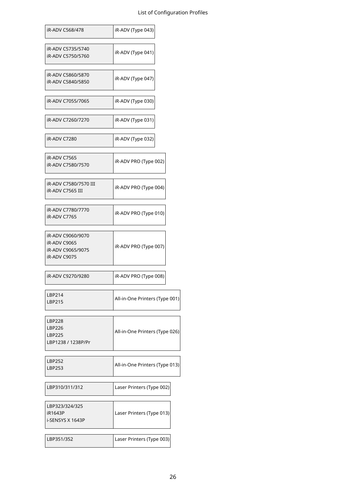| iR-ADV C568/478                                                        | iR-ADV (Type 043)              |
|------------------------------------------------------------------------|--------------------------------|
| iR-ADV C5735/5740<br>iR-ADV C5750/5760                                 | iR-ADV (Type 041)              |
| iR-ADV C5860/5870<br>iR-ADV C5840/5850                                 | iR-ADV (Type 047)              |
| iR-ADV C7055/7065                                                      | iR-ADV (Type 030)              |
| iR-ADV C7260/7270                                                      | iR-ADV (Type 031)              |
| <b>iR-ADV C7280</b>                                                    | iR-ADV (Type 032)              |
| iR-ADV C7565<br>iR-ADV C7580/7570                                      | iR-ADV PRO (Type 002)          |
| iR-ADV C7580/7570 III<br>iR-ADV C7565 III                              | iR-ADV PRO (Type 004)          |
| iR-ADV C7780/7770<br>iR-ADV C7765                                      | iR-ADV PRO (Type 010)          |
| iR-ADV C9060/9070<br>iR-ADV C9065<br>iR-ADV C9065/9075<br>iR-ADV C9075 | iR-ADV PRO (Type 007)          |
| iR-ADV C9270/9280                                                      | iR-ADV PRO (Type 008)          |
| LBP214<br><b>LBP215</b>                                                | All-in-One Printers (Type 001) |
| <b>LBP228</b><br><b>LBP226</b><br><b>LBP225</b><br>LBP1238 / 1238P/Pr  | All-in-One Printers (Type 026) |
| <b>LBP252</b><br>LBP253                                                | All-in-One Printers (Type 013) |
| LBP310/311/312                                                         | Laser Printers (Type 002)      |
| LBP323/324/325<br>iR1643P<br>i-SENSYS X 1643P                          | Laser Printers (Type 013)      |
| LBP351/352                                                             | Laser Printers (Type 003)      |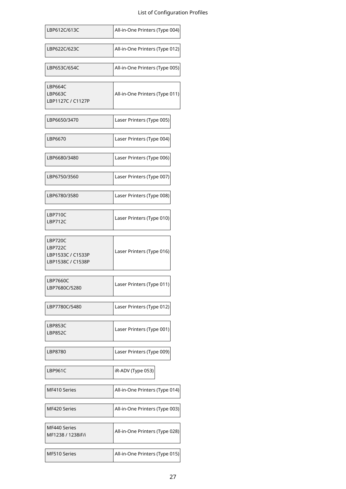| LBP612C/613C                                                 | All-in-One Printers (Type 004) |
|--------------------------------------------------------------|--------------------------------|
| LBP622C/623C                                                 | All-in-One Printers (Type 012) |
| LBP653C/654C                                                 | All-in-One Printers (Type 005) |
| <b>LBP664C</b><br>LBP663C<br>LBP1127C / C1127P               | All-in-One Printers (Type 011) |
| LBP6650/3470                                                 | Laser Printers (Type 005)      |
| LBP6670                                                      | Laser Printers (Type 004)      |
| LBP6680/3480                                                 | Laser Printers (Type 006)      |
| LBP6750/3560                                                 | Laser Printers (Type 007)      |
| LBP6780/3580                                                 | Laser Printers (Type 008)      |
| LBP710C<br>LBP712C                                           | Laser Printers (Type 010)      |
| LBP720C<br>LBP722C<br>LBP1533C / C1533P<br>LBP1538C / C1538P | Laser Printers (Type 016)      |
| <b>LBP7660C</b><br>LBP7680C/5280                             | Laser Printers (Type 011)      |
| LBP7780C/5480                                                | Laser Printers (Type 012)      |
| LBP853C<br>LBP852C                                           | Laser Printers (Type 001)      |
| LBP8780                                                      | Laser Printers (Type 009)      |
| LBP961C                                                      | iR-ADV (Type 053)              |
| MF410 Series                                                 | All-in-One Printers (Type 014) |
| MF420 Series                                                 | All-in-One Printers (Type 003) |
| MF440 Series<br>MF1238 / 1238iF/i                            | All-in-One Printers (Type 028) |
| MF510 Series                                                 | All-in-One Printers (Type 015) |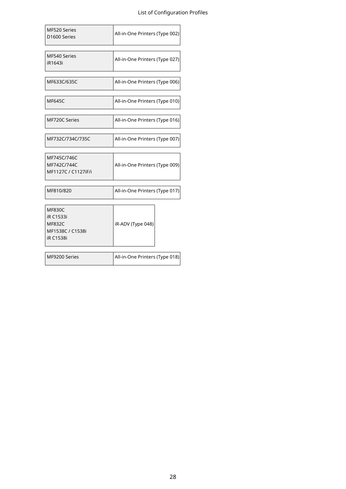| MF520 Series<br>D1600 Series                                                               | All-in-One Printers (Type 002) |
|--------------------------------------------------------------------------------------------|--------------------------------|
| MF540 Series<br>iR1643i                                                                    | All-in-One Printers (Type 027) |
| MF633C/635C                                                                                | All-in-One Printers (Type 006) |
| <b>MF645C</b>                                                                              | All-in-One Printers (Type 010) |
| MF720C Series                                                                              | All-in-One Printers (Type 016) |
| MF732C/734C/735C                                                                           | All-in-One Printers (Type 007) |
| MF745C/746C<br>MF742C/744C<br>MF1127C / C1127iF/i                                          | All-in-One Printers (Type 009) |
| MF810/820                                                                                  | All-in-One Printers (Type 017) |
| <b>MF830C</b><br><b>iR C1533i</b><br><b>MF832C</b><br>MF1538C / C1538i<br><b>iR C1538i</b> | iR-ADV (Type 048)              |
| MF9200 Series                                                                              | All-in-One Printers (Type 018) |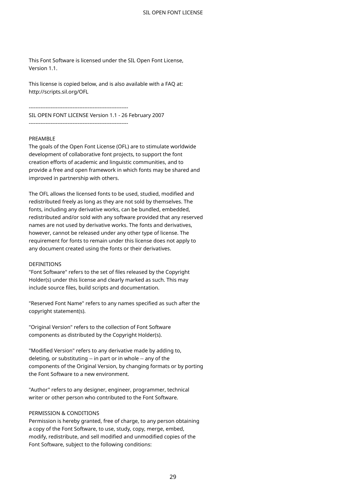This Font Software is licensed under the SIL Open Font License, Version 1.1

This license is copied below, and is also available with a FAQ at: http://scripts.sil.org/OFL

-----------------------------------------------------------

SIL OPEN FONT LICENSE Version 1.1 - 26 February 2007

-----------------------------------------------------------

#### PREAMBLE

The goals of the Open Font License (OFL) are to stimulate worldwide development of collaborative font projects, to support the font creation efforts of academic and linguistic communities, and to provide a free and open framework in which fonts may be shared and improved in partnership with others.

The OFL allows the licensed fonts to be used, studied, modified and redistributed freely as long as they are not sold by themselves. The fonts, including any derivative works, can be bundled, embedded, redistributed and/or sold with any software provided that any reserved names are not used by derivative works. The fonts and derivatives, however, cannot be released under any other type of license. The requirement for fonts to remain under this license does not apply to any document created using the fonts or their derivatives.

#### DEFINITIONS

"Font Software" refers to the set of files released by the Copyright Holder(s) under this license and clearly marked as such. This may include source files, build scripts and documentation.

"Reserved Font Name" refers to any names specified as such after the copyright statement(s).

"Original Version" refers to the collection of Font Software components as distributed by the Copyright Holder(s).

"Modified Version" refers to any derivative made by adding to, deleting, or substituting -- in part or in whole -- any of the components of the Original Version, by changing formats or by porting the Font Software to a new environment.

"Author" refers to any designer, engineer, programmer, technical writer or other person who contributed to the Font Software.

#### PERMISSION & CONDITIONS

Permission is hereby granted, free of charge, to any person obtaining a copy of the Font Software, to use, study, copy, merge, embed, modify, redistribute, and sell modified and unmodified copies of the Font Software, subject to the following conditions: